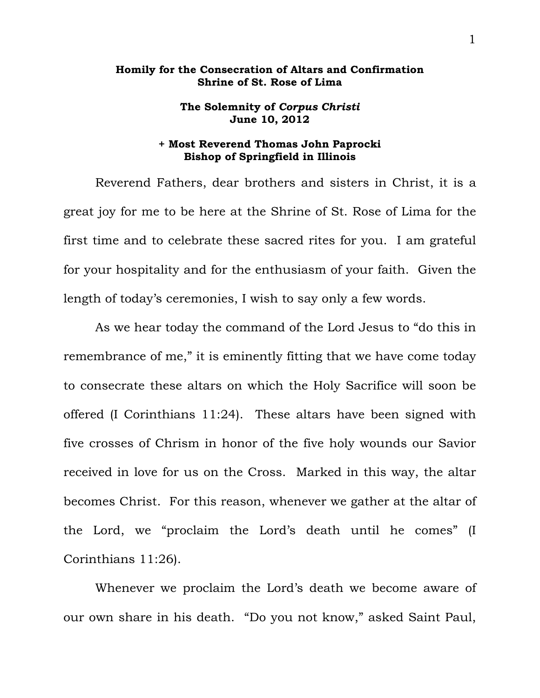## **Homily for the Consecration of Altars and Confirmation Shrine of St. Rose of Lima**

## **The Solemnity of** *Corpus Christi* **June 10, 2012**

## **+ Most Reverend Thomas John Paprocki Bishop of Springfield in Illinois**

 Reverend Fathers, dear brothers and sisters in Christ, it is a great joy for me to be here at the Shrine of St. Rose of Lima for the first time and to celebrate these sacred rites for you. I am grateful for your hospitality and for the enthusiasm of your faith. Given the length of today's ceremonies, I wish to say only a few words.

 As we hear today the command of the Lord Jesus to "do this in remembrance of me," it is eminently fitting that we have come today to consecrate these altars on which the Holy Sacrifice will soon be offered (I Corinthians 11:24). These altars have been signed with five crosses of Chrism in honor of the five holy wounds our Savior received in love for us on the Cross. Marked in this way, the altar becomes Christ. For this reason, whenever we gather at the altar of the Lord, we "proclaim the Lord's death until he comes" (I Corinthians 11:26).

 Whenever we proclaim the Lord's death we become aware of our own share in his death. "Do you not know," asked Saint Paul,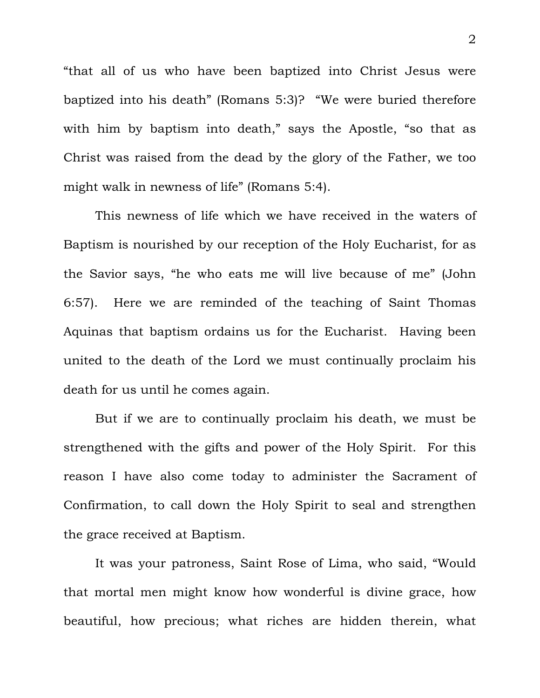"that all of us who have been baptized into Christ Jesus were baptized into his death" (Romans 5:3)? "We were buried therefore with him by baptism into death," says the Apostle, "so that as Christ was raised from the dead by the glory of the Father, we too might walk in newness of life" (Romans 5:4).

 This newness of life which we have received in the waters of Baptism is nourished by our reception of the Holy Eucharist, for as the Savior says, "he who eats me will live because of me" (John 6:57). Here we are reminded of the teaching of Saint Thomas Aquinas that baptism ordains us for the Eucharist. Having been united to the death of the Lord we must continually proclaim his death for us until he comes again.

 But if we are to continually proclaim his death, we must be strengthened with the gifts and power of the Holy Spirit. For this reason I have also come today to administer the Sacrament of Confirmation, to call down the Holy Spirit to seal and strengthen the grace received at Baptism.

 It was your patroness, Saint Rose of Lima, who said, "Would that mortal men might know how wonderful is divine grace, how beautiful, how precious; what riches are hidden therein, what